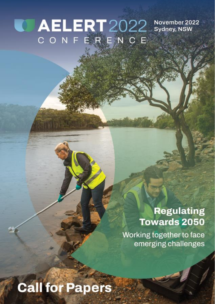# AELERT 2022 November 20: November 2022 CONFERENCE

# **Regulating Towards 2050**

Working together to face emerging challenges

# **Call for Papers**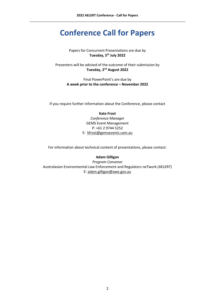# **Conference Call for Papers**

Papers for Concurrent Presentations are due by **Tuesday, 5 th July 2022**

Presenters will be advised of the outcome of their submission by **Tuesday, 2 nd August 2022**

> Final PowerPoint's are due by **A week prior to the conference – November 2022**

If you require further information about the Conference, please contact

#### **Kate Frost**

*Conference Manager* GEMS Event Management P: +61 2 9744 5252 E: [kfrost@gemsevents.com.au](mailto:kfrost@gemsevents.com.au)

For information about technical content of presentations, please contact:

#### **Adam Gilligan**

*Program Convenor* Australasian Environmental Law Enforcement and Regulators neTwork (AELERT) E: [adam.gilligan@awe.gov.au](mailto:adam.gilligan@awe.gov.au)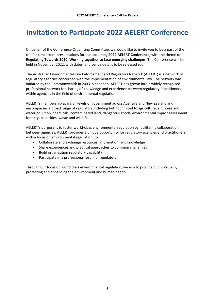## **Invitation to Participate 2022 AELERT Conference**

On behalf of the Conference Organising Committee, we would like to invite you to be a part of the call for concurrent presentations for the upcoming **2022 AELERT Conference,** with the theme of **Regulating Towards 2050: Working together to face emerging challenges**. The Conference will be held in November 2022, with dates, and venue details to be released soon.

The Australian Environmental Law Enforcement and Regulators Network (AELERT) is a network of regulatory agencies concerned with the implementation of environmental law. The network was initiated by the Commonwealth in 2003. Since then, AELERT has grown into a widely recognised professional network for sharing of knowledge and experience between regulatory practitioners within agencies in the field of environmental regulation.

AELERT's membership spans all levels of government across Australia and New Zealand and encompasses a broad range of regulators including but not limited to agriculture, air, noise and water pollution, chemicals, contaminated land, dangerous goods, environmental impact assessment, forestry, pesticides, waste and wildlife.

AELERT's purpose is to foster world-class environmental regulation by facilitating collaboration between agencies. AELERT provides a unique opportunity for regulatory agencies and practitioners, with a focus on environmental regulation, to:

- Collaborate and exchange resources, information, and knowledge
- Share experiences and practical approaches to common challenges
- Build organisation regulatory capability
- Participate in a professional forum of regulators

Through our focus on world class environmental regulation, we aim to provide public value by protecting and enhancing the environment and human health.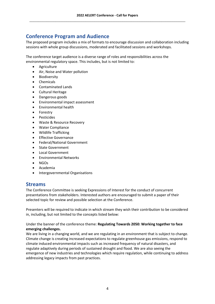## **Conference Program and Audience**

The proposed program includes a mix of formats to encourage discussion and collaboration including sessions with whole group discussions, moderated and facilitated sessions and workshops.

The conference target audience is a diverse range of roles and responsibilities across the environmental regulatory space. This includes, but is not limited to:

- Agriculture
- Air, Noise and Water pollution
- Biodiversity
- Chemicals
- Contaminated Lands
- Cultural Heritage
- Dangerous goods
- Environmental impact assessment
- Environmental health
- Forestry
- Pesticides
- Waste & Resource Recovery
- Water Compliance
- Wildlife Trafficking
- Effective Governance
- Federal/National Government
- State Government
- Local Government
- Environmental Networks
- NGOs
- Academia
- Intergovernmental Organisations

#### **Streams**

The Conference Committee is seeking Expressions of Interest for the conduct of concurrent presentations from stakeholders. Interested authors are encouraged to submit a paper of their selected topic for review and possible selection at the Conference.

Presenters will be required to indicate in which stream they wish their contribution to be considered in, including, but not limited to the concepts listed below:

#### Under the banner of the conference theme: **Regulating Towards 2050: Working together to face emerging challenges.**

We are living in a changing world, and we are regulating in an environment that is subject to change. Climate change is creating increased expectations to regulate greenhouse gas emissions, respond to climate induced environmental impacts such as increased frequency of natural disasters, and regulate adaptively during periods of sustained drought and flood. We are also seeing the emergence of new industries and technologies which require regulation, while continuing to address addressing legacy impacts from past practices.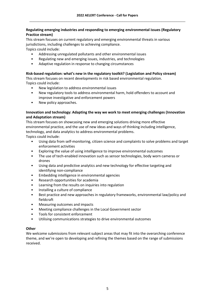#### **Regulating emerging industries and responding to emerging environmental issues (Regulatory Practice stream)**

This stream focuses on current regulatory and emerging environmental threats in various jurisdictions, including challenges to achieving compliance. Topics could include:

- Addressing unregulated pollutants and other environmental issues
- Regulating new and emerging issues, industries, and technologies
- Adaptive regulation in response to changing circumstances

#### **Risk-based regulation: what's new in the regulatory toolkit? (Legislation and Policy stream)**

This stream focuses on recent developments in risk based environmental regulation. Topics could include:

- New legislation to address environmental issues
- New regulatory tools to address environmental harm, hold offenders to account and improve investigative and enforcement powers
- New policy approaches.

#### **Innovation and technology: Adapting the way we work to meet emerging challenges (Innovation and Adaptation stream)**

This stream focuses on showcasing new and emerging solutions driving more effective environmental practice, and the use of new ideas and ways of thinking including intelligence, technology, and data analytics to address environmental problems. Topics could include:

- Using data from self-monitoring, citizen science and complaints to solve problems and target enforcement activities
- Exploring the value of using intelligence to improve environmental outcomes
- The use of tech-enabled innovation such as sensor technologies, body worn cameras or drones
- Using data and predictive analytics and new technology for effective targeting and identifying non-compliance
- Embedding intelligence in environmental agencies
- Research opportunities for academia
- Learning from the results on inquiries into regulation
- Installing a culture of compliance
- Best practice and new approaches in regulatory frameworks, environmental law/policy and fieldcraft
- Measuring outcomes and impacts
- Meeting compliance challenges in the Local Government sector
- Tools for consistent enforcement
- Utilising communications strategies to drive environmental outcomes

#### **Other**

We welcome submissions from relevant subject areas that may fit into the overarching conference theme, and we're open to developing and refining the themes based on the range of submissions received.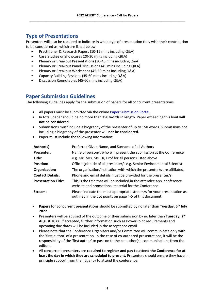## **Type of Presentations**

Presenters will also be required to indicate in what style of presentation they wish their contribution to be considered as, which are listed below:

- Practitioner & Research Papers (10-15 mins including Q&A)
- Case Studies or Showcases (20-30 mins including Q&A)
- Plenary or Breakout Presentations (30-45 mins including Q&A)
- Plenary or Breakout Panel Discussions (45 mins including Q&A)
- Plenary or Breakout Workshops (45-60 mins including Q&A)
- Capacity Building Sessions (45-60 mins including Q&A)
- Discussion Roundtables (45-60 mins including Q&A)

### **Paper Submission Guidelines**

The following guidelines apply for the submission of papers for all concurrent presentations.

- All papers must be submitted via the online Paper [Submission Portal.](https://gems.eventsair.com/aelert-2022/papers-portal)
- In total, paper should be no more than **350 words in length.** Paper exceeding this limit **will not be considered.**
- Submissions must include a biography of the presenter of up to 150 words. Submissions not including a biography of the presenter **will not be considered.**
- Paper must include the following information:

| Author(s):                 | Preferred Given Name, and Surname of all Authors                                                                                   |
|----------------------------|------------------------------------------------------------------------------------------------------------------------------------|
| <b>Presenter:</b>          | Name of person/s who will present the submission at the Conference                                                                 |
| Title:                     | e.g. Mr, Mrs, Ms, Dr, Prof for all persons listed above                                                                            |
| <b>Position:</b>           | Official job title of all presenter/s e.g. Senior Environmental Scientist                                                          |
| Organisation:              | The organisation/institution with which the presenter/s are affiliated.                                                            |
| <b>Contact Details:</b>    | Phone and email details must be provided for the presenter/s.                                                                      |
| <b>Presentation Title:</b> | This is the title that will be included in the attendee app, conference<br>website and promotional material for the Conference.    |
| Stream:                    | Please indicate the most appropriate stream/s for your presentation as<br>outlined in the dot points on page 4-5 of this document. |

- **Papers for concurrent presentations** should be submitted by no later than **Tuesday, 5 th July 2022.**
- Presenters will be advised of the outcome of their submission by no later than Tuesday, 2<sup>nd</sup> **August 2022.** If accepted, further information such as PowerPoint requirements and upcoming due dates will be included in the acceptance email.
- Please note that the Conference Organisers and/or Committee will communicate only with the 'first author' of a presentation. In the case of co-authored presentations, it will be the responsibility of the 'first author' to pass on to the co-author(s), communications from the editors.
- All concurrent presenters are **required to register and pay to attend the Conference for at least the day in which they are scheduled to present.** Presenters should ensure they have in principle support from their agency to attend the conference.